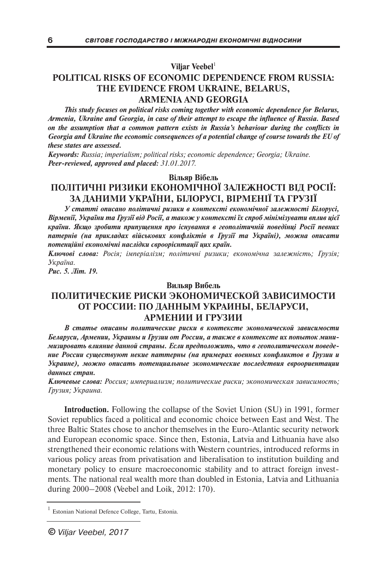**Viljar Veebel** 1

## **POLITICAL RISKS OF ECONOMIC DEPENDENCE FROM RUSSIA: THE EVIDENCE FROM UKRAINE, BELARUS, ARMENIA AND GEORGIA**

*This study focuses on political risks coming together with economic dependence for Belarus, Armenia, Ukraine and Georgia, in case of their attempt to escape the influence of Russia. Based on the assumption that a common pattern exists in Russia's behaviour during the conflicts in Georgia and Ukraine the economic consequences of a potential change of course towards the EU of these states are assessed.*

*Keywords: Russia; imperialism; political risks; economic dependence; Georgia; Ukraine. Peer-reviewed, approved and placed: 31.01.2017.*

## **Вільяр Вібель ПОЛІТИЧНІ РИЗИКИ ЕКОНОМІЧНОЇ ЗАЛЕЖНОСТІ ВІД РОСІЇ: ЗА ДАНИМИ УКРАЇНИ, БІЛОРУСІ, ВІРМЕНІЇ ТА ГРУЗІЇ**

*У статті описано політичні ризики в контексті економічної залежності Білорусі, Вірменії, України та Грузії від Росії, а також у контексті їх спроб мінімізувати вплив цієї країни. Якщо зробити припущення про існування в геополітичній поведінці Росії певних патернів (на прикладах військових конфліктів в Грузії та Україні), можна описати потенційні економічні наслідки євроорієнтації цих країн.*

*Ключові слова: Росія; імперіалізм; політичні ризики; економічна залежність; Грузія; Україна.*

*Рис. 5. Літ. 19.*

### **Вильяр Вибель**

# **ПОЛИТИЧЕСКИЕ РИСКИ ЭКОНОМИЧЕСКОЙ ЗАВИСИМОСТИ ОТ РОССИИ: ПО ДАННЫМ УКРАИНЫ, БЕЛАРУСИ, АРМЕНИИ И ГРУЗИИ**

*В статье описаны политические риски в контексте экономической зависимости Беларуси, Армении, Украины и Грузии от России, а также в контексте их попыток минимизировать влияние данной страны. Если предположить, что в геополитическом поведение России существуют некие паттерны (на примерах военных конфликтов в Грузии и Украине), можно описать потенциальные экономические последствия евроориентации данных стран.*

*Ключевые слова: Россия; империализм; политические риски; экономическая зависимость; Грузия; Украина.*

**Introduction.** Following the collapse of the Soviet Union (SU) in 1991, former Soviet republics faced a political and economic choice between East and West. The three Baltic States chose to anchor themselves in the Euro-Atlantic security network and European economic space. Since then, Estonia, Latvia and Lithuania have also strengthened their economic relations with Western countries, introduced reforms in various policy areas from privatisation and liberalisation to institution building and monetary policy to ensure macroeconomic stability and to attract foreign investments. The national real wealth more than doubled in Estonia, Latvia and Lithuania during 2000–2008 (Veebel and Loik, 2012: 170).

Estonian National Defence College, Tartu, Estonia.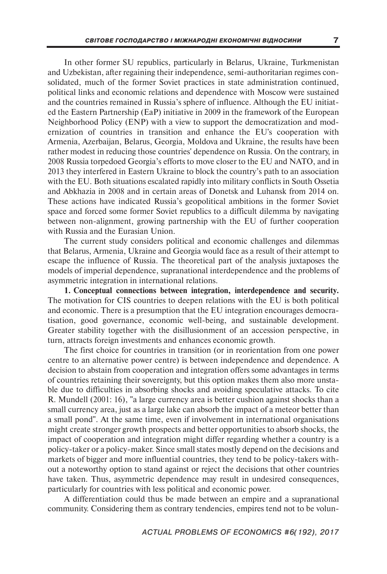In other former SU republics, particularly in Belarus, Ukraine, Turkmenistan and Uzbekistan, after regaining their independence, semi-authoritarian regimes consolidated, much of the former Soviet practices in state administration continued, political links and economic relations and dependence with Moscow were sustained and the countries remained in Russia's sphere of influence. Although the EU initiated the Eastern Partnership (EaP) initiative in 2009 in the framework of the European Neighborhood Policy (ENP) with a view to support the democratization and modernization of countries in transition and enhance the EU's cooperation with Armenia, Azerbaijan, Belarus, Georgia, Moldova and Ukraine, the results have been rather modest in reducing those countries' dependence on Russia. On the contrary, in 2008 Russia torpedoed Georgia's efforts to move closer to the EU and NATO, and in 2013 they interfered in Eastern Ukraine to block the country's path to an association with the EU. Both situations escalated rapidly into military conflicts in South Ossetia and Abkhazia in 2008 and in certain areas of Donetsk and Luhansk from 2014 on. These actions have indicated Russia's geopolitical ambitions in the former Soviet space and forced some former Soviet republics to a difficult dilemma by navigating between non-alignment, growing partnership with the EU of further cooperation with Russia and the Eurasian Union.

The current study considers political and economic challenges and dilemmas that Belarus, Armenia, Ukraine and Georgia would face as a result of their attempt to escape the influence of Russia. The theoretical part of the analysis juxtaposes the models of imperial dependence, supranational interdependence and the problems of asymmetric integration in international relations.

**1. Conceptual connections between integration, interdependence and security.** The motivation for CIS countries to deepen relations with the EU is both political and economic. There is a presumption that the EU integration encourages democratisation, good governance, economic well-being, and sustainable development. Greater stability together with the disillusionment of an accession perspective, in turn, attracts foreign investments and enhances economic growth.

The first choice for countries in transition (or in reorientation from one power centre to an alternative power centre) is between independence and dependence. A decision to abstain from cooperation and integration offers some advantages in terms of countries retaining their sovereignty, but this option makes them also more unstable due to difficulties in absorbing shocks and avoiding speculative attacks. To cite R. Mundell (2001: 16), "a large currency area is better cushion against shocks than a small currency area, just as a large lake can absorb the impact of a meteor better than a small pond". At the same time, even if involvement in international organisations might create stronger growth prospects and better opportunities to absorb shocks, the impact of cooperation and integration might differ regarding whether a country is a policy-taker or a policy-maker. Since small states mostly depend on the decisions and markets of bigger and more influential countries, they tend to be policy-takers without a noteworthy option to stand against or reject the decisions that other countries have taken. Thus, asymmetric dependence may result in undesired consequences, particularly for countries with less political and economic power.

A differentiation could thus be made between an empire and a supranational community. Considering them as contrary tendencies, empires tend not to be volun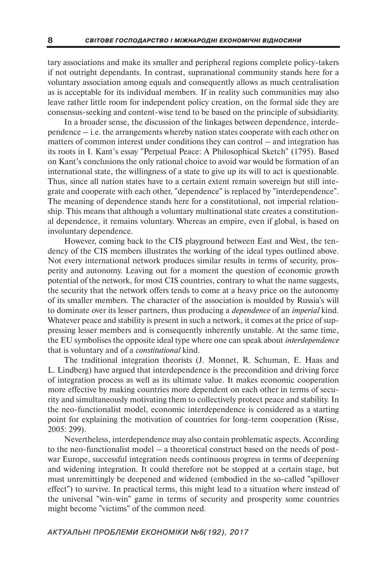tary associations and make its smaller and peripheral regions complete policy-takers if not outright dependants. In contrast, supranational community stands here for a voluntary association among equals and consequently allows as much centralisation as is acceptable for its individual members. If in reality such communities may also leave rather little room for independent policy creation, on the formal side they are consensus-seeking and content-wise tend to be based on the principle of subsidiarity.

In a broader sense, the discussion of the linkages between dependence, interdependence – i.e. the arrangements whereby nation states cooperate with each other on matters of common interest under conditions they can control – and integration has its roots in I. Kant's essay "Perpetual Peace: A Philosophical Sketch" (1795). Based on Kant's conclusions the only rational choice to avoid war would be formation of an international state, the willingness of a state to give up its will to act is questionable. Thus, since all nation states have to a certain extent remain sovereign but still integrate and cooperate with each other, "dependence" is replaced by "interdependence". The meaning of dependence stands here for a constitutional, not imperial relationship. This means that although a voluntary multinational state creates a constitutional dependence, it remains voluntary. Whereas an empire, even if global, is based on involuntary dependence.

However, coming back to the CIS playground between East and West, the tendency of the CIS members illustrates the working of the ideal types outlined above. Not every international network produces similar results in terms of security, prosperity and autonomy. Leaving out for a moment the question of economic growth potential of the network, for most CIS countries, contrary to what the name suggests, the security that the network offers tends to come at a heavy price on the autonomy of its smaller members. The character of the association is moulded by Russia's will to dominate over its lesser partners, thus producing a *dependence* of an *imperial* kind. Whatever peace and stability is present in such a network, it comes at the price of suppressing lesser members and is consequently inherently unstable. At the same time, the EU symbolises the opposite ideal type where one can speak about *interdependence* that is voluntary and of a *constitutional* kind.

The traditional integration theorists (J. Monnet, R. Schuman, E. Haas and L. Lindberg) have argued that interdependence is the precondition and driving force of integration process as well as its ultimate value. It makes economic cooperation more effective by making countries more dependent on each other in terms of security and simultaneously motivating them to collectively protect peace and stability. In the neo-functionalist model, economic interdependence is considered as a starting point for explaining the motivation of countries for long-term cooperation (Risse, 2005: 299).

Nevertheless, interdependence may also contain problematic aspects. According to the neo-functionalist model – a theoretical construct based on the needs of postwar Europe, successful integration needs continuous progress in terms of deepening and widening integration. It could therefore not be stopped at a certain stage, but must unremittingly be deepened and widened (embodied in the so-called "spillover effect") to survive. In practical terms, this might lead to a situation where instead of the universal "win-win" game in terms of security and prosperity some countries might become "victims" of the common need.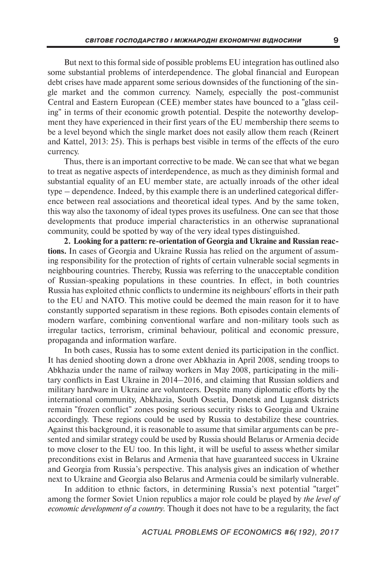But next to this formal side of possible problems EU integration has outlined also some substantial problems of interdependence. The global financial and European debt crises have made apparent some serious downsides of the functioning of the single market and the common currency. Namely, especially the post-communist Central and Eastern European (CEE) member states have bounced to a "glass ceiling" in terms of their economic growth potential. Despite the noteworthy development they have experienced in their first years of the EU membership there seems to be a level beyond which the single market does not easily allow them reach (Reinert and Kattel, 2013: 25). This is perhaps best visible in terms of the effects of the euro currency.

Thus, there is an important corrective to be made. We can see that what we began to treat as negative aspects of interdependence, as much as they diminish formal and substantial equality of an EU member state, are actually inroads of the other ideal type – dependence. Indeed, by this example there is an underlined categorical difference between real associations and theoretical ideal types. And by the same token, this way also the taxonomy of ideal types proves its usefulness. One can see that those developments that produce imperial characteristics in an otherwise supranational community, could be spotted by way of the very ideal types distinguished.

**2. Looking for a pattern: re-orientation of Georgia and Ukraine and Russian reactions.** In cases of Georgia and Ukraine Russia has relied on the argument of assuming responsibility for the protection of rights of certain vulnerable social segments in neighbouring countries. Thereby, Russia was referring to the unacceptable condition of Russian-speaking populations in these countries. In effect, in both countries Russia has exploited ethnic conflicts to undermine its neighbours' efforts in their path to the EU and NATO. This motive could be deemed the main reason for it to have constantly supported separatism in these regions. Both episodes contain elements of modern warfare, combining conventional warfare and non-military tools such as irregular tactics, terrorism, criminal behaviour, political and economic pressure, propaganda and information warfare.

In both cases, Russia has to some extent denied its participation in the conflict. It has denied shooting down a drone over Abkhazia in April 2008, sending troops to Abkhazia under the name of railway workers in May 2008, participating in the military conflicts in East Ukraine in 2014–2016, and claiming that Russian soldiers and military hardware in Ukraine are volunteers. Despite many diplomatic efforts by the international community, Abkhazia, South Ossetia, Donetsk and Lugansk districts remain "frozen conflict" zones posing serious security risks to Georgia and Ukraine accordingly. These regions could be used by Russia to destabilize these countries. Against this background, it is reasonable to assume that similar arguments can be presented and similar strategy could be used by Russia should Belarus or Armenia decide to move closer to the EU too. In this light, it will be useful to assess whether similar preconditions exist in Belarus and Armenia that have guaranteed success in Ukraine and Georgia from Russia's perspective. This analysis gives an indication of whether next to Ukraine and Georgia also Belarus and Armenia could be similarly vulnerable.

In addition to ethnic factors, in determining Russia's next potential "target" among the former Soviet Union republics a major role could be played by *the level of economic development of a country.* Though it does not have to be a regularity, the fact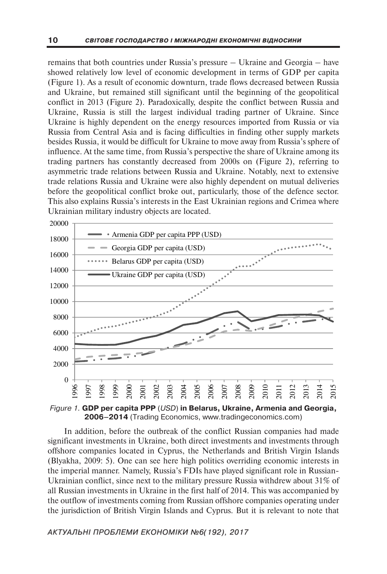remains that both countries under Russia's pressure – Ukraine and Georgia – have showed relatively low level of economic development in terms of GDP per capita (Figure 1). As a result of economic downturn, trade flows decreased between Russia and Ukraine, but remained still significant until the beginning of the geopolitical conflict in 2013 (Figure 2). Paradoxically, despite the conflict between Russia and Ukraine, Russia is still the largest individual trading partner of Ukraine. Since Ukraine is highly dependent on the energy resources imported from Russia or via Russia from Central Asia and is facing difficulties in finding other supply markets besides Russia, it would be difficult for Ukraine to move away from Russia's sphere of influence. At the same time, from Russia's perspective the share of Ukraine among its trading partners has constantly decreased from 2000s on (Figure 2), referring to asymmetric trade relations between Russia and Ukraine. Notably, next to extensive trade relations Russia and Ukraine were also highly dependent on mutual deliveries before the geopolitical conflict broke out, particularly, those of the defence sector. This also explains Russia's interests in the East Ukrainian regions and Crimea where Ukrainian military industry objects are located.



*Figure 1.* **GDP per capita PPP** (*USD*) **in Belarus, Ukraine, Armenia and Georgia, 2006–2014** (Trading Economics, www.tradingeconomics.com)

In addition, before the outbreak of the conflict Russian companies had made significant investments in Ukraine, both direct investments and investments through offshore companies located in Cyprus, the Netherlands and British Virgin Islands (Blyakha, 2009: 5). One can see here high politics overriding economic interests in the imperial manner. Namely, Russia's FDIs have played significant role in Russian-Ukrainian conflict, since next to the military pressure Russia withdrew about 31% of all Russian investments in Ukraine in the first half of 2014. This was accompanied by the outflow of investments coming from Russian offshore companies operating under the jurisdiction of British Virgin Islands and Cyprus. But it is relevant to note that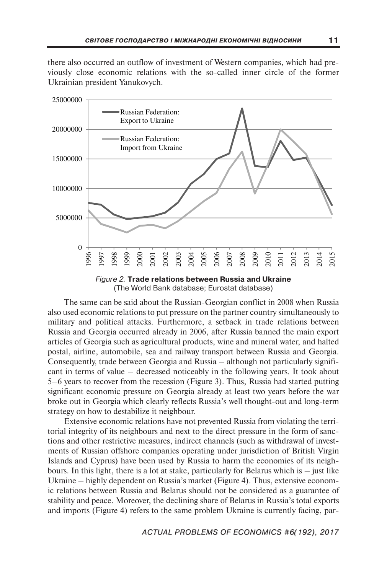there also occurred an outflow of investment of Western companies, which had previously close economic relations with the so-called inner circle of the former Ukrainian president Yanukovych.



*Figure 2.* **Trade relations between Russia and Ukraine** (The World Bank database; Eurostat database)

The same can be said about the Russian-Georgian conflict in 2008 when Russia also used economic relations to put pressure on the partner country simultaneously to military and political attacks. Furthermore, a setback in trade relations between Russia and Georgia occurred already in 2006, after Russia banned the main export articles of Georgia such as agricultural products, wine and mineral water, and halted postal, airline, automobile, sea and railway transport between Russia and Georgia. Consequently, trade between Georgia and Russia – although not particularly significant in terms of value – decreased noticeably in the following years. It took about 5–6 years to recover from the recession (Figure 3). Thus, Russia had started putting significant economic pressure on Georgia already at least two years before the war broke out in Georgia which clearly reflects Russia's well thought-out and long-term strategy on how to destabilize it neighbour.

Extensive economic relations have not prevented Russia from violating the territorial integrity of its neighbours and next to the direct pressure in the form of sanctions and other restrictive measures, indirect channels (such as withdrawal of investments of Russian offshore companies operating under jurisdiction of British Virgin Islands and Cyprus) have been used by Russia to harm the economies of its neighbours. In this light, there is a lot at stake, particularly for Belarus which is – just like Ukraine – highly dependent on Russia's market (Figure 4). Thus, extensive economic relations between Russia and Belarus should not be considered as a guarantee of stability and peace. Moreover, the declining share of Belarus in Russia's total exports and imports (Figure 4) refers to the same problem Ukraine is currently facing, par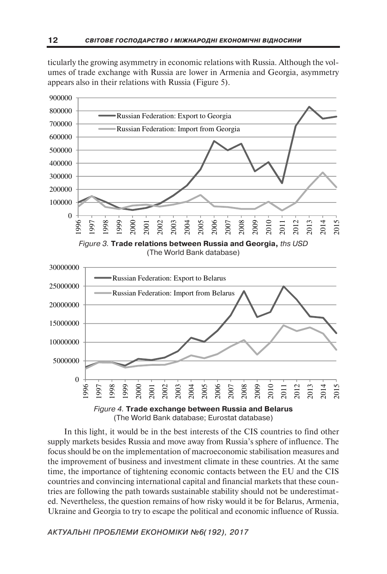ticularly the growing asymmetry in economic relations with Russia. Although the volumes of trade exchange with Russia are lower in Armenia and Georgia, asymmetry appears also in their relations with Russia (Figure 5).



In this light, it would be in the best interests of the CIS countries to find other supply markets besides Russia and move away from Russia's sphere of influence. The focus should be on the implementation of macroeconomic stabilisation measures and the improvement of business and investment climate in these countries. At the same time, the importance of tightening economic contacts between the EU and the CIS countries and convincing international capital and financial markets that these countries are following the path towards sustainable stability should not be underestimated. Nevertheless, the question remains of how risky would it be for Belarus, Armenia, Ukraine and Georgia to try to escape the political and economic influence of Russia.

*АКТУАЛЬНІ ПРОБЛЕМИ ЕКОНОМІКИ №6(192), 2017*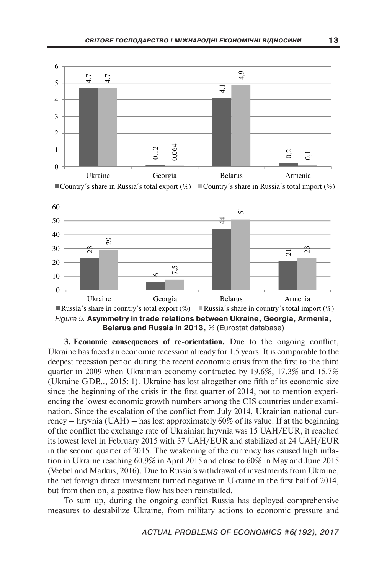





**3. Economic consequences of re-orientation.** Due to the ongoing conflict, Ukraine has faced an economic recession already for 1.5 years. It is comparable to the deepest recession period during the recent economic crisis from the first to the third quarter in 2009 when Ukrainian economy contracted by 19.6%, 17.3% and 15.7% (Ukraine GDP…, 2015: 1). Ukraine has lost altogether one fifth of its economic size since the beginning of the crisis in the first quarter of 2014, not to mention experiencing the lowest economic growth numbers among the CIS countries under examination. Since the escalation of the conflict from July 2014, Ukrainian national currency – hryvnia (UAH) – has lost approximately  $60\%$  of its value. If at the beginning of the conflict the exchange rate of Ukrainian hryvnia was 15 UAH/EUR, it reached its lowest level in February 2015 with 37 UAH/EUR and stabilized at 24 UAH/EUR in the second quarter of 2015. The weakening of the currency has caused high inflation in Ukraine reaching 60.9% in April 2015 and close to 60% in May and June 2015 (Veebel and Markus, 2016). Due to Russia's withdrawal of investments from Ukraine, the net foreign direct investment turned negative in Ukraine in the first half of 2014, but from then on, a positive flow has been reinstalled.

To sum up, during the ongoing conflict Russia has deployed comprehensive measures to destabilize Ukraine, from military actions to economic pressure and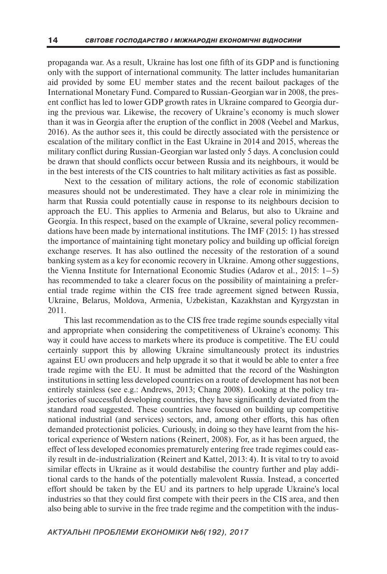propaganda war. As a result, Ukraine has lost one fifth of its GDP and is functioning only with the support of international community. The latter includes humanitarian aid provided by some EU member states and the recent bailout packages of the International Monetary Fund. Compared to Russian-Georgian war in 2008, the present conflict has led to lower GDP growth rates in Ukraine compared to Georgia during the previous war. Likewise, the recovery of Ukraine's economy is much slower than it was in Georgia after the eruption of the conflict in 2008 (Veebel and Markus, 2016). As the author sees it, this could be directly associated with the persistence or escalation of the military conflict in the East Ukraine in 2014 and 2015, whereas the military conflict during Russian-Georgian war lasted only 5 days. A conclusion could be drawn that should conflicts occur between Russia and its neighbours, it would be in the best interests of the CIS countries to halt military activities as fast as possible.

Next to the cessation of military actions, the role of economic stabilization measures should not be underestimated. They have a clear role in minimizing the harm that Russia could potentially cause in response to its neighbours decision to approach the EU. This applies to Armenia and Belarus, but also to Ukraine and Georgia. In this respect, based on the example of Ukraine, several policy recommendations have been made by international institutions. The IMF (2015: 1) has stressed the importance of maintaining tight monetary policy and building up official foreign exchange reserves. It has also outlined the necessity of the restoration of a sound banking system as a key for economic recovery in Ukraine. Among other suggestions, the Vienna Institute for International Economic Studies (Adarov et al., 2015: 1–5) has recommended to take a clearer focus on the possibility of maintaining a preferential trade regime within the CIS free trade agreement signed between Russia, Ukraine, Belarus, Moldova, Armenia, Uzbekistan, Kazakhstan and Kyrgyzstan in 2011.

This last recommendation as to the CIS free trade regime sounds especially vital and appropriate when considering the competitiveness of Ukraine's economy. This way it could have access to markets where its produce is competitive. The EU could certainly support this by allowing Ukraine simultaneously protect its industries against EU own producers and help upgrade it so that it would be able to enter a free trade regime with the EU. It must be admitted that the record of the Washington institutions in setting less developed countries on a route of development has not been entirely stainless (see e.g.: Andrews, 2013; Chang 2008). Looking at the policy trajectories of successful developing countries, they have significantly deviated from the standard road suggested. These countries have focused on building up competitive national industrial (and services) sectors, and, among other efforts, this has often demanded protectionist policies. Curiously, in doing so they have learnt from the historical experience of Western nations (Reinert, 2008). For, as it has been argued, the effect of less developed economies prematurely entering free trade regimes could easily result in de-industrialization (Reinert and Kattel, 2013: 4). It is vital to try to avoid similar effects in Ukraine as it would destabilise the country further and play additional cards to the hands of the potentially malevolent Russia. Instead, a concerted effort should be taken by the EU and its partners to help upgrade Ukraine's local industries so that they could first compete with their peers in the CIS area, and then also being able to survive in the free trade regime and the competition with the indus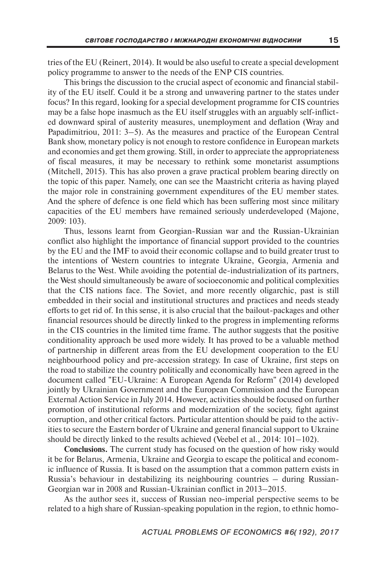tries of the EU (Reinert, 2014). It would be also useful to create a special development policy programme to answer to the needs of the ENP CIS countries.

This brings the discussion to the crucial aspect of economic and financial stability of the EU itself. Could it be a strong and unwavering partner to the states under focus? In this regard, looking for a special development programme for CIS countries may be a false hope inasmuch as the EU itself struggles with an arguably self-inflicted downward spiral of austerity measures, unemployment and deflation (Wray and Papadimitriou, 2011: 3–5). As the measures and practice of the European Central Bank show, monetary policy is not enough to restore confidence in European markets and economies and get them growing. Still, in order to appreciate the appropriateness of fiscal measures, it may be necessary to rethink some monetarist assumptions (Mitchell, 2015). This has also proven a grave practical problem bearing directly on the topic of this paper. Namely, one can see the Maastricht criteria as having played the major role in constraining government expenditures of the EU member states. And the sphere of defence is one field which has been suffering most since military capacities of the EU members have remained seriously underdeveloped (Majone, 2009: 103).

Thus, lessons learnt from Georgian-Russian war and the Russian-Ukrainian conflict also highlight the importance of financial support provided to the countries by the EU and the IMF to avoid their economic collapse and to build greater trust to the intentions of Western countries to integrate Ukraine, Georgia, Armenia and Belarus to the West. While avoiding the potential de-industrialization of its partners, the West should simultaneously be aware of socioeconomic and political complexities that the CIS nations face. The Soviet, and more recently oligarchic, past is still embedded in their social and institutional structures and practices and needs steady efforts to get rid of. In this sense, it is also crucial that the bailout-packages and other financial resources should be directly linked to the progress in implementing reforms in the CIS countries in the limited time frame. The author suggests that the positive conditionality approach be used more widely. It has proved to be a valuable method of partnership in different areas from the EU development cooperation to the EU neighbourhood policy and pre-accession strategy. In case of Ukraine, first steps on the road to stabilize the country politically and economically have been agreed in the document called "EU-Ukraine: A European Agenda for Reform" (2014) developed jointly by Ukrainian Government and the European Commission and the European External Action Service in July 2014. However, activities should be focused on further promotion of institutional reforms and modernization of the society, fight against corruption, and other critical factors. Particular attention should be paid to the activities to secure the Eastern border of Ukraine and general financial support to Ukraine should be directly linked to the results achieved (Veebel et al., 2014: 101–102).

**Conclusions.** The current study has focused on the question of how risky would it be for Belarus, Armenia, Ukraine and Georgia to escape the political and economic influence of Russia. It is based on the assumption that a common pattern exists in Russia's behaviour in destabilizing its neighbouring countries – during Russian-Georgian war in 2008 and Russian-Ukrainian conflict in 2013–2015.

As the author sees it, success of Russian neo-imperial perspective seems to be related to a high share of Russian-speaking population in the region, to ethnic homo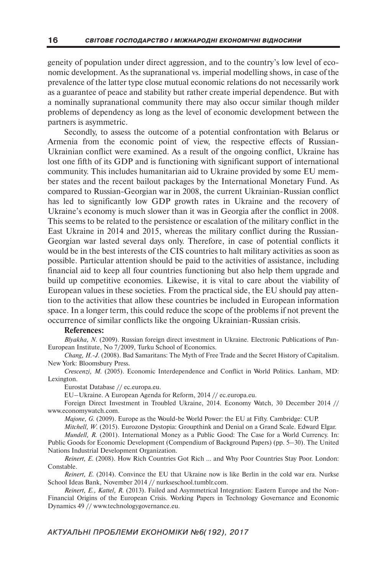geneity of population under direct aggression, and to the country's low level of economic development. As the supranational vs. imperial modelling shows, in case of the prevalence of the latter type close mutual economic relations do not necessarily work as a guarantee of peace and stability but rather create imperial dependence. But with a nominally supranational community there may also occur similar though milder problems of dependency as long as the level of economic development between the partners is asymmetric.

Secondly, to assess the outcome of a potential confrontation with Belarus or Armenia from the economic point of view, the respective effects of Russian-Ukrainian conflict were examined. As a result of the ongoing conflict, Ukraine has lost one fifth of its GDP and is functioning with significant support of international community. This includes humanitarian aid to Ukraine provided by some EU member states and the recent bailout packages by the International Monetary Fund. As compared to Russian-Georgian war in 2008, the current Ukrainian-Russian conflict has led to significantly low GDP growth rates in Ukraine and the recovery of Ukraine's economy is much slower than it was in Georgia after the conflict in 2008. This seems to be related to the persistence or escalation of the military conflict in the East Ukraine in 2014 and 2015, whereas the military conflict during the Russian-Georgian war lasted several days only. Therefore, in case of potential conflicts it would be in the best interests of the CIS countries to halt military activities as soon as possible. Particular attention should be paid to the activities of assistance, including financial aid to keep all four countries functioning but also help them upgrade and build up competitive economies. Likewise, it is vital to care about the viability of European values in these societies. From the practical side, the EU should pay attention to the activities that allow these countries be included in European information space. In a longer term, this could reduce the scope of the problems if not prevent the occurrence of similar conflicts like the ongoing Ukrainian-Russian crisis.

#### **References:**

*Blyakha, N.* (2009). Russian foreign direct investment in Ukraine. Electronic Publications of Pan-European Institute, No 7/2009, Turku School of Economics.

*Chang, H.-J.* (2008). Bad Samaritans: The Myth of Free Trade and the Secret History of Capitalism. New York: Bloomsbury Press.

*Crescenzi, M.* (2005). Economic Interdependence and Conflict in World Politics. Lanham, MD: Lexington.

Eurostat Database // ec.europa.eu.

EU–Ukraine. A European Agenda for Reform, 2014 // ec.europa.eu.

Foreign Direct Investment in Troubled Ukraine, 2014. Economy Watch, 30 December 2014 // www.economywatch.com.

*Majone, G.* (2009). Europe as the Would-be World Power: the EU at Fifty. Cambridge: CUP.

*Mitchell, W.* (2015). Eurozone Dystopia: Groupthink and Denial on a Grand Scale. Edward Elgar. *Mundell, R.* (2001). International Money as a Public Good: The Case for a World Currency. In:

Public Goods for Economic Development (Compendium of Background Papers) (pp. 5–30). The United Nations Industrial Development Organization.

*Reinert, E.* (2008). How Rich Countries Got Rich ... and Why Poor Countries Stay Poor. London: Constable.

*Reinert, E.* (2014). Convince the EU that Ukraine now is like Berlin in the cold war era. Nurkse School Ideas Bank, November 2014 // nurkseschool.tumblr.com.

*Reinert, E., Kattel, R.* (2013). Failed and Asymmetrical Integration: Eastern Europe and the Non-Financial Origins of the European Crisis. Working Papers in Technology Governance and Economic Dynamics 49 // www.technologygovernance.eu.